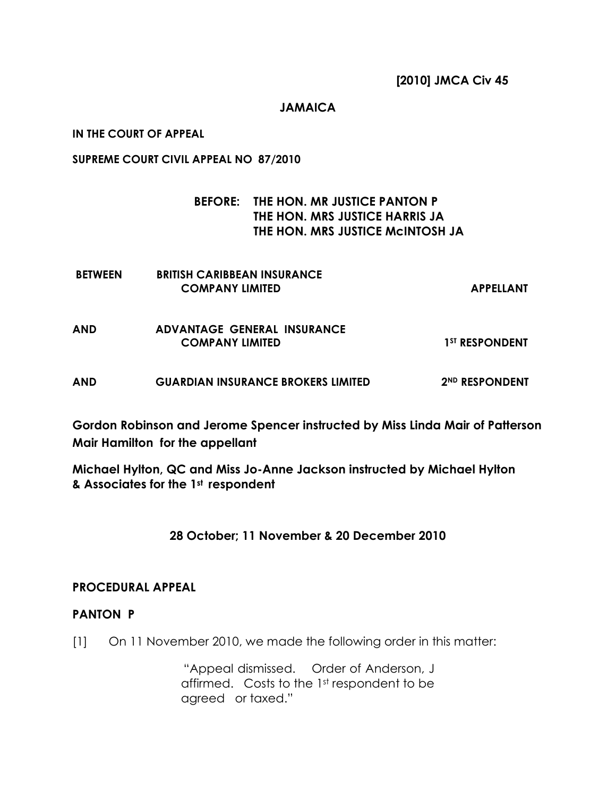## JAMAICA

IN THE COURT OF APPEAL

SUPREME COURT CIVIL APPEAL NO 87/2010

## BEFORE: THE HON. MR JUSTICE PANTON P THE HON. MRS JUSTICE HARRIS JA THE HON. MRS JUSTICE McINTOSH JA

| <b>BETWEEN</b> | <b>BRITISH CARIBBEAN INSURANCE</b><br><b>COMPANY LIMITED</b> | <b>APPELLANT</b>           |
|----------------|--------------------------------------------------------------|----------------------------|
| <b>AND</b>     | ADVANTAGE GENERAL INSURANCE<br><b>COMPANY LIMITED</b>        | 1 <sup>ST</sup> RESPONDENT |
| <b>AND</b>     | <b>GUARDIAN INSURANCE BROKERS LIMITED</b>                    | 2 <sup>ND</sup> RESPONDENT |

Gordon Robinson and Jerome Spencer instructed by Miss Linda Mair of Patterson Mair Hamilton for the appellant

Michael Hylton, QC and Miss Jo-Anne Jackson instructed by Michael Hylton & Associates for the 1st respondent

28 October; 11 November & 20 December 2010

## PROCEDURAL APPEAL

## PANTON P

[1] On 11 November 2010, we made the following order in this matter:

"Appeal dismissed. Order of Anderson, J affirmed. Costs to the 1st respondent to be agreed or taxed."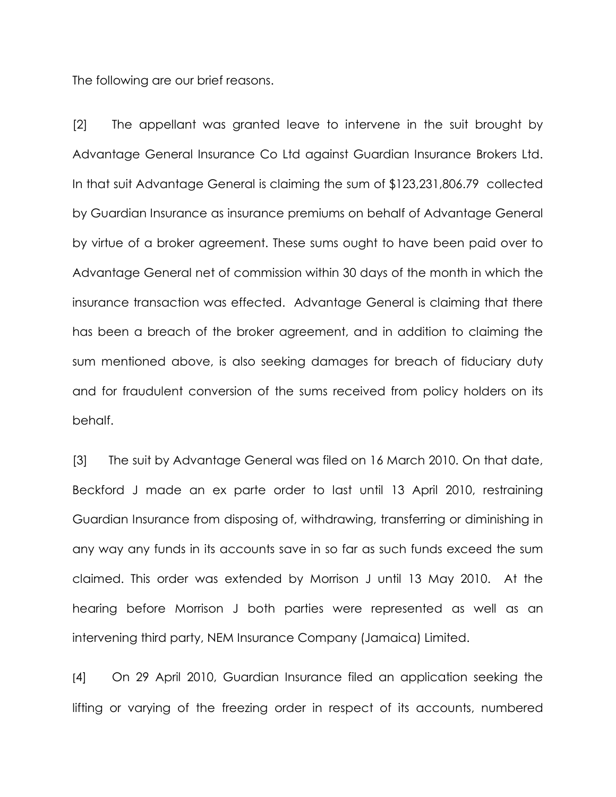The following are our brief reasons.

[2] The appellant was granted leave to intervene in the suit brought by Advantage General Insurance Co Ltd against Guardian Insurance Brokers Ltd. In that suit Advantage General is claiming the sum of \$123,231,806.79 collected by Guardian Insurance as insurance premiums on behalf of Advantage General by virtue of a broker agreement. These sums ought to have been paid over to Advantage General net of commission within 30 days of the month in which the insurance transaction was effected. Advantage General is claiming that there has been a breach of the broker agreement, and in addition to claiming the sum mentioned above, is also seeking damages for breach of fiduciary duty and for fraudulent conversion of the sums received from policy holders on its behalf.

[3] The suit by Advantage General was filed on 16 March 2010. On that date, Beckford J made an ex parte order to last until 13 April 2010, restraining Guardian Insurance from disposing of, withdrawing, transferring or diminishing in any way any funds in its accounts save in so far as such funds exceed the sum claimed. This order was extended by Morrison J until 13 May 2010. At the hearing before Morrison J both parties were represented as well as an intervening third party, NEM Insurance Company (Jamaica) Limited.

[4] On 29 April 2010, Guardian Insurance filed an application seeking the lifting or varying of the freezing order in respect of its accounts, numbered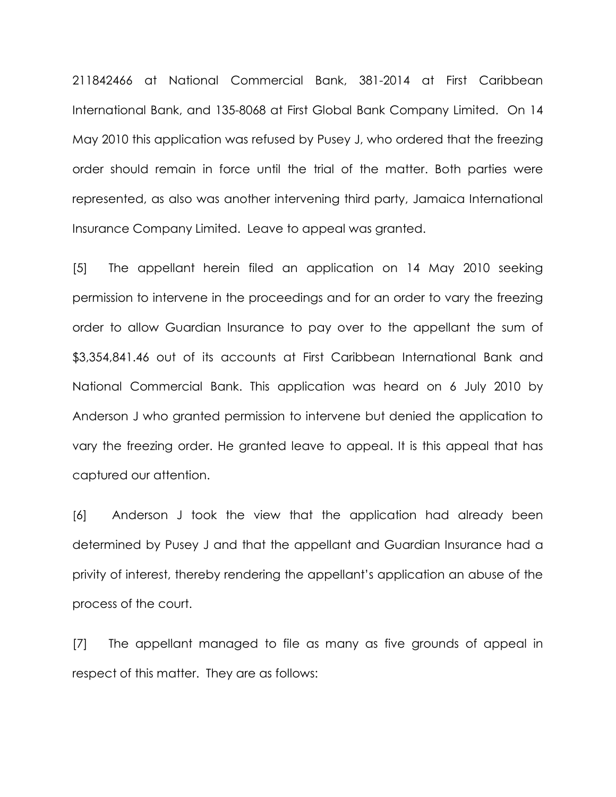211842466 at National Commercial Bank, 381-2014 at First Caribbean International Bank, and 135-8068 at First Global Bank Company Limited. On 14 May 2010 this application was refused by Pusey J, who ordered that the freezing order should remain in force until the trial of the matter. Both parties were represented, as also was another intervening third party, Jamaica International Insurance Company Limited. Leave to appeal was granted.

[5] The appellant herein filed an application on 14 May 2010 seeking permission to intervene in the proceedings and for an order to vary the freezing order to allow Guardian Insurance to pay over to the appellant the sum of \$3,354,841.46 out of its accounts at First Caribbean International Bank and National Commercial Bank. This application was heard on 6 July 2010 by Anderson J who granted permission to intervene but denied the application to vary the freezing order. He granted leave to appeal. It is this appeal that has captured our attention.

[6] Anderson J took the view that the application had already been determined by Pusey J and that the appellant and Guardian Insurance had a privity of interest, thereby rendering the appellant's application an abuse of the process of the court.

[7] The appellant managed to file as many as five grounds of appeal in respect of this matter. They are as follows: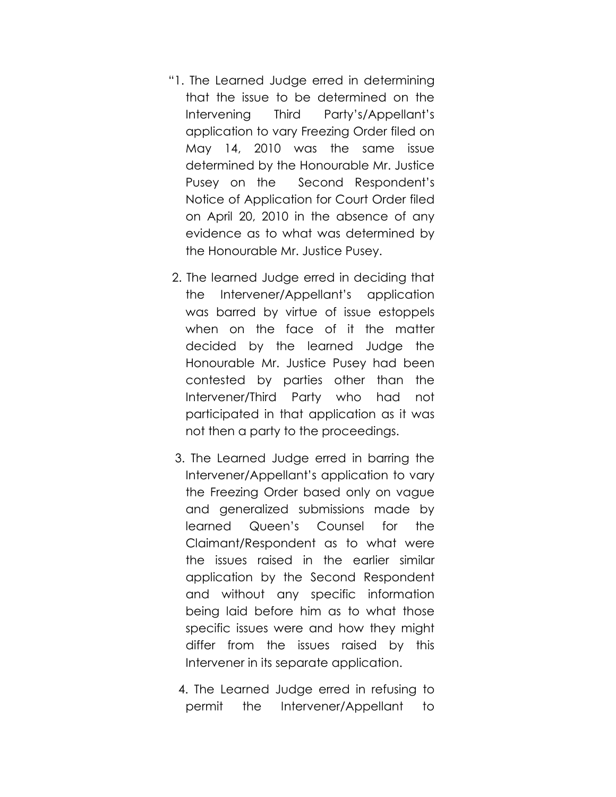- "1. The Learned Judge erred in determining that the issue to be determined on the Intervening Third Party's/Appellant's application to vary Freezing Order filed on May 14, 2010 was the same issue determined by the Honourable Mr. Justice Pusey on the Second Respondent's Notice of Application for Court Order filed on April 20, 2010 in the absence of any evidence as to what was determined by the Honourable Mr. Justice Pusey.
- 2. The learned Judge erred in deciding that the Intervener/Appellant's application was barred by virtue of issue estoppels when on the face of it the matter decided by the learned Judge the Honourable Mr. Justice Pusey had been contested by parties other than the Intervener/Third Party who had not participated in that application as it was not then a party to the proceedings.
- 3. The Learned Judge erred in barring the Intervener/Appellant's application to vary the Freezing Order based only on vague and generalized submissions made by learned Queen's Counsel for the Claimant/Respondent as to what were the issues raised in the earlier similar application by the Second Respondent and without any specific information being laid before him as to what those specific issues were and how they might differ from the issues raised by this Intervener in its separate application.
- 4. The Learned Judge erred in refusing to permit the Intervener/Appellant to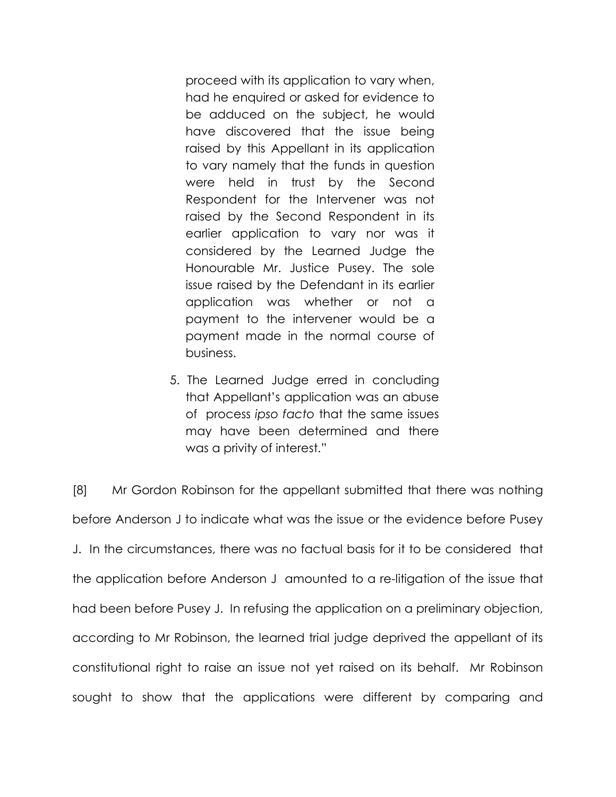proceed with its application to vary when, had he enquired or asked for evidence to be adduced on the subject, he would have discovered that the issue being raised by this Appellant in its application to vary namely that the funds in question were held in trust by the Second Respondent for the Intervener was not raised by the Second Respondent in its earlier application to vary nor was it considered by the Learned Judge the Honourable Mr. Justice Pusey. The sole issue raised by the Defendant in its earlier application was whether or not a payment to the intervener would be a payment made in the normal course of business.

 5. The Learned Judge erred in concluding that Appellant's application was an abuse of process ipso facto that the same issues may have been determined and there was a privity of interest."

[8] Mr Gordon Robinson for the appellant submitted that there was nothing before Anderson J to indicate what was the issue or the evidence before Pusey J. In the circumstances, there was no factual basis for it to be considered that the application before Anderson J amounted to a re-litigation of the issue that had been before Pusey J. In refusing the application on a preliminary objection, according to Mr Robinson, the learned trial judge deprived the appellant of its constitutional right to raise an issue not yet raised on its behalf. Mr Robinson sought to show that the applications were different by comparing and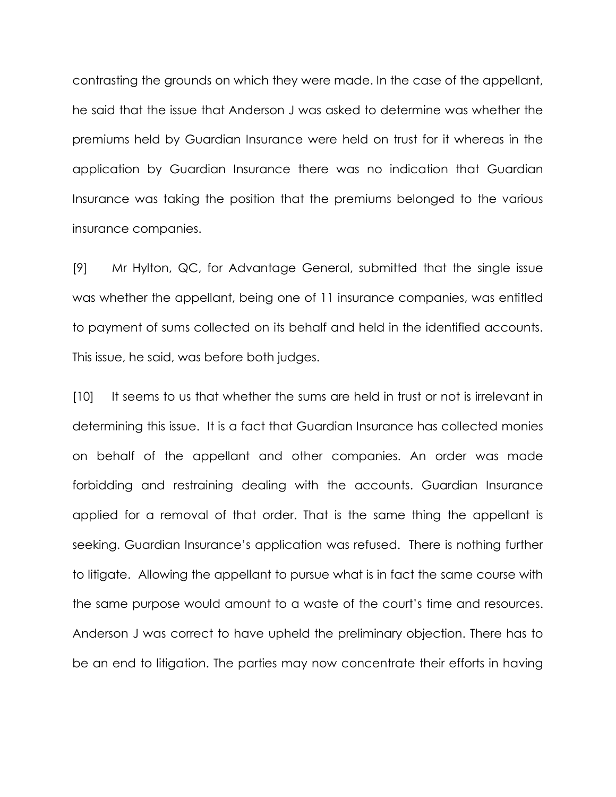contrasting the grounds on which they were made. In the case of the appellant, he said that the issue that Anderson J was asked to determine was whether the premiums held by Guardian Insurance were held on trust for it whereas in the application by Guardian Insurance there was no indication that Guardian Insurance was taking the position that the premiums belonged to the various insurance companies.

[9] Mr Hylton, QC, for Advantage General, submitted that the single issue was whether the appellant, being one of 11 insurance companies, was entitled to payment of sums collected on its behalf and held in the identified accounts. This issue, he said, was before both judges.

[10] It seems to us that whether the sums are held in trust or not is irrelevant in determining this issue. It is a fact that Guardian Insurance has collected monies on behalf of the appellant and other companies. An order was made forbidding and restraining dealing with the accounts. Guardian Insurance applied for a removal of that order. That is the same thing the appellant is seeking. Guardian Insurance's application was refused. There is nothing further to litigate. Allowing the appellant to pursue what is in fact the same course with the same purpose would amount to a waste of the court's time and resources. Anderson J was correct to have upheld the preliminary objection. There has to be an end to litigation. The parties may now concentrate their efforts in having